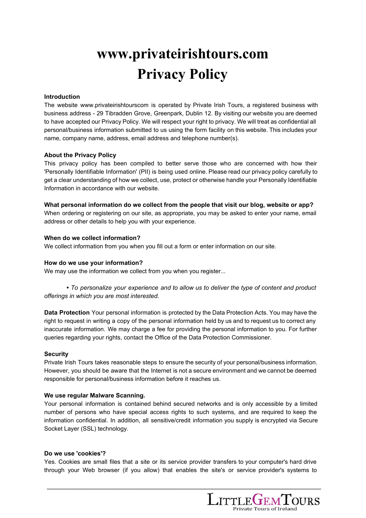# **www.privateirishtours.com Privacy Policy**

## **Introduction**

The website www.privateirishtourscom is operated by Private Irish Tours, a registered business with business address - 29 Tibradden Grove, Greenpark, Dublin 12. By visiting our website you are deemed to have accepted our Privacy Policy. We will respect your right to privacy. We will treat as confidential all personal/business information submitted to us using the form facility on this website. This includes your name, company name, address, email address and telephone number(s).

## **About the Privacy Policy**

This privacy policy has been compiled to better serve those who are concerned with how their 'Personally Identifiable Information' (PII) is being used online. Please read our privacy policy carefully to get a clear understanding of how we collect, use, protect or otherwise handle your Personally Identifiable Information in accordance with our website.

**What personal information do we collect from the people that visit our blog, website or app?** When ordering or registering on our site, as appropriate, you may be asked to enter your name, email address or other details to help you with your experience.

## **When do we collect information?**

We collect information from you when you fill out a form or enter information on our site.

# **How do we use your information?**

We may use the information we collect from you when you register...

*• To personalize your experience and to allow us to deliver the type of content and product offerings in which you are most interested.*

**Data Protection** Your personal information is protected by the Data Protection Acts. You may have the right to request in writing a copy of the personal information held by us and to request us to correct any inaccurate information. We may charge a fee for providing the personal information to you. For further queries regarding your rights, contact the Office of the Data Protection Commissioner.

#### **Security**

Private Irish Tours takes reasonable steps to ensure the security of your personal/business information. However, you should be aware that the Internet is not a secure environment and we cannot be deemed responsible for personal/business information before it reaches us.

#### **We use regular Malware Scanning.**

Your personal information is contained behind secured networks and is only accessible by a limited number of persons who have special access rights to such systems, and are required to keep the information confidential. In addition, all sensitive/credit information you supply is encrypted via Secure Socket Layer (SSL) technology.

#### **Do we use 'cookies'?**

Yes. Cookies are small files that a site or its service provider transfers to your computer's hard drive through your Web browser (if you allow) that enables the site's or service provider's systems to

\_\_\_\_\_\_\_\_\_\_\_\_\_\_\_\_\_\_\_\_\_\_\_\_\_\_\_\_\_\_\_\_\_\_\_\_\_\_\_\_\_\_\_\_\_\_\_\_\_\_\_\_\_\_\_\_\_\_\_\_\_\_\_\_\_\_\_\_\_\_\_\_\_

**LITTLEGEMTOURS**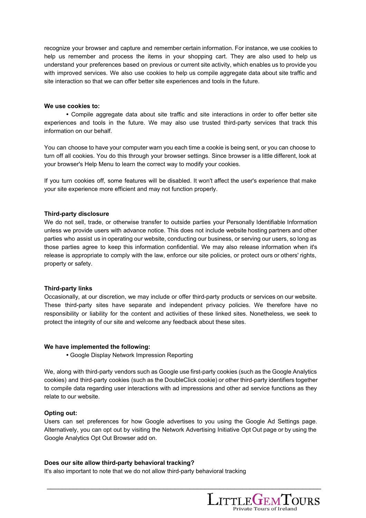recognize your browser and capture and remember certain information. For instance, we use cookies to help us remember and process the items in your shopping cart. They are also used to help us understand your preferences based on previous or current site activity, which enables us to provide you with improved services. We also use cookies to help us compile aggregate data about site traffic and site interaction so that we can offer better site experiences and tools in the future.

#### **We use cookies to:**

**•** Compile aggregate data about site traffic and site interactions in order to offer better site experiences and tools in the future. We may also use trusted third-party services that track this information on our behalf.

You can choose to have your computer warn you each time a cookie is being sent, or you can choose to turn off all cookies. You do this through your browser settings. Since browser is a little different, look at your browser's Help Menu to learn the correct way to modify your cookies.

If you turn cookies off, some features will be disabled. It won't affect the user's experience that make your site experience more efficient and may not function properly.

#### **Third-party disclosure**

We do not sell, trade, or otherwise transfer to outside parties your Personally Identifiable Information unless we provide users with advance notice. This does not include website hosting partners and other parties who assist us in operating our website, conducting our business, or serving our users, so long as those parties agree to keep this information confidential. We may also release information when it's release is appropriate to comply with the law, enforce our site policies, or protect ours or others' rights, property or safety.

#### **Third-party links**

Occasionally, at our discretion, we may include or offer third-party products or services on our website. These third-party sites have separate and independent privacy policies. We therefore have no responsibility or liability for the content and activities of these linked sites. Nonetheless, we seek to protect the integrity of our site and welcome any feedback about these sites.

#### **We have implemented the following:**

**•** Google Display Network Impression Reporting

We, along with third-party vendors such as Google use first-party cookies (such as the Google Analytics cookies) and third-party cookies (such as the DoubleClick cookie) or other third-party identifiers together to compile data regarding user interactions with ad impressions and other ad service functions as they relate to our website.

#### **Opting out:**

Users can set preferences for how Google advertises to you using the Google Ad Settings page. Alternatively, you can opt out by visiting the Network Advertising Initiative Opt Out page or by using the Google Analytics Opt Out Browser add on.

\_\_\_\_\_\_\_\_\_\_\_\_\_\_\_\_\_\_\_\_\_\_\_\_\_\_\_\_\_\_\_\_\_\_\_\_\_\_\_\_\_\_\_\_\_\_\_\_\_\_\_\_\_\_\_\_\_\_\_\_\_\_\_\_\_\_\_\_\_\_\_\_\_

#### **Does our site allow third-party behavioral tracking?**

It's also important to note that we do not allow third-party behavioral tracking